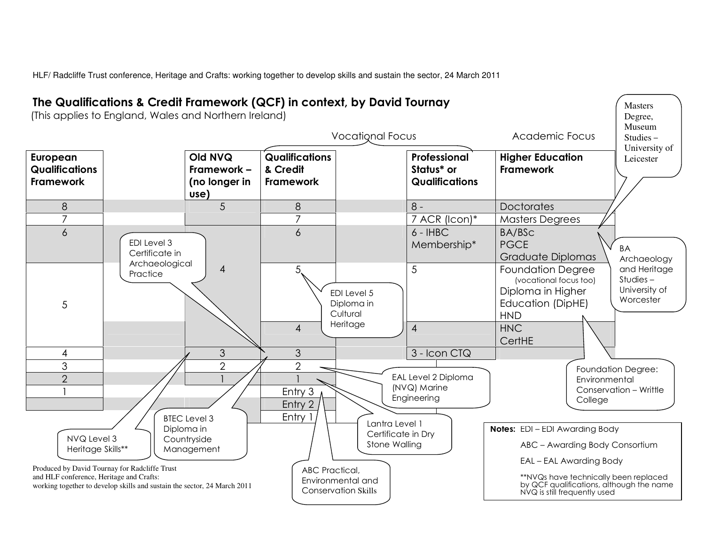HLF/ Radcliffe Trust conference, Heritage and Crafts: working together to develop skills and sustain the sector, 24 March 2011